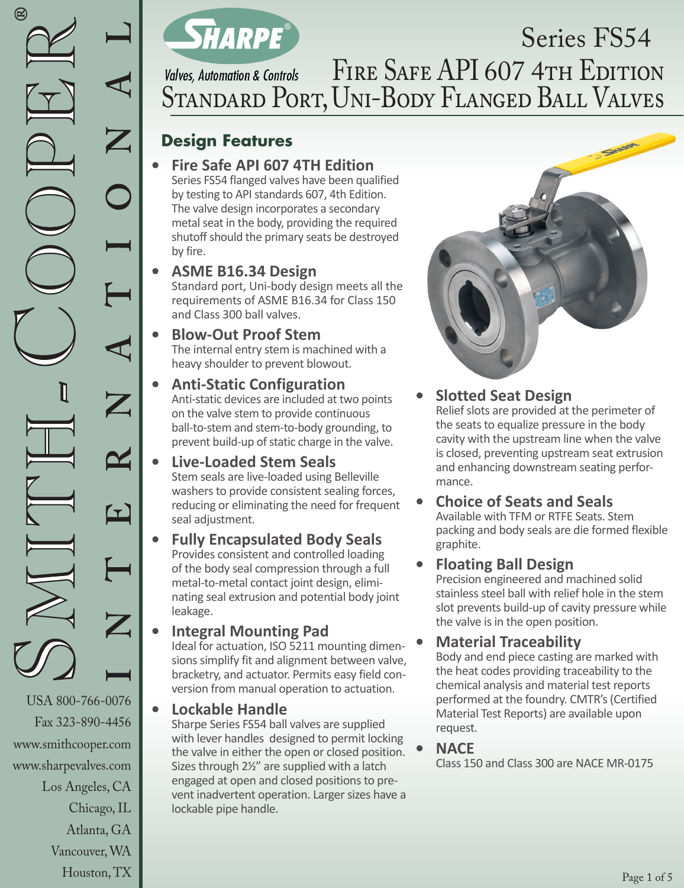www.smithcooper.com www.sharpevalves.com

Los Angeles, CA

Chicago, IL Atlanta, GA Vancouver, WA Houston, TX



# Series FS54 FIRE SAFE API 607 4TH EDITION **Valves, Automation & Controls** Standard Port, Uni-Body Flanged Ball Valves

# **Design Features**

**• Fire Safe API 607 4TH Edition**  Series FS54 flanged valves have been qualified by testing to API standards 607, 4th Edition. The valve design incorporates a secondary metal seat in the body, providing the required shutoff should the primary seats be destroyed by fire.

#### **• ASME B16.34 Design**  Standard port, Uni-body design meets all the requirements of ASME B16.34 for Class 150 and Class 300 ball valves.

- **• Blow-Out Proof Stem** The internal entry stem is machined with a heavy shoulder to prevent blowout.
- **• Anti-Static Configuration**  Anti-static devices are included at two points on the valve stem to provide continuous ball-to-stem and stem-to-body grounding, to prevent build-up of static charge in the valve.
- **• Live-Loaded Stem Seals** Stem seals are live-loaded using Belleville washers to provide consistent sealing forces, reducing or eliminating the need for frequent seal adjustment.

#### **• Fully Encapsulated Body Seals**  Provides consistent and controlled loading of the body seal compression through a full metal-to-metal contact joint design, eliminating seal extrusion and potential body joint leakage.

**• Integral Mounting Pad** Ideal for actuation, ISO 5211 mounting dimensions simplify fit and alignment between valve, bracketry, and actuator. Permits easy field conversion from manual operation to actuation.

## **• Lockable Handle**

Sharpe Series FS54 ball valves are supplied with lever handles designed to permit locking the valve in either the open or closed position. Sizes through 21/2" are supplied with a latch engaged at open and closed positions to prevent inadvertent operation. Larger sizes have a lockable pipe handle.



**• Slotted Seat Design** Relief slots are provided at the perimeter of the seats to equalize pressure in the body cavity with the upstream line when the valve is closed, preventing upstream seat extrusion and enhancing downstream seating performance.

**• Choice of Seats and Seals**  Available with TFM or RTFE Seats. Stem packing and body seals are die formed flexible graphite.

## **• Floating Ball Design**

Precision engineered and machined solid stainless steel ball with relief hole in the stem slot prevents build-up of cavity pressure while the valve is in the open position.

## **• Material Traceability**

Body and end piece casting are marked with the heat codes providing traceability to the chemical analysis and material test reports performed at the foundry. CMTR's (Certified Material Test Reports) are available upon request.

### **• NACE**

Class 150 and Class 300 are NACE MR-0175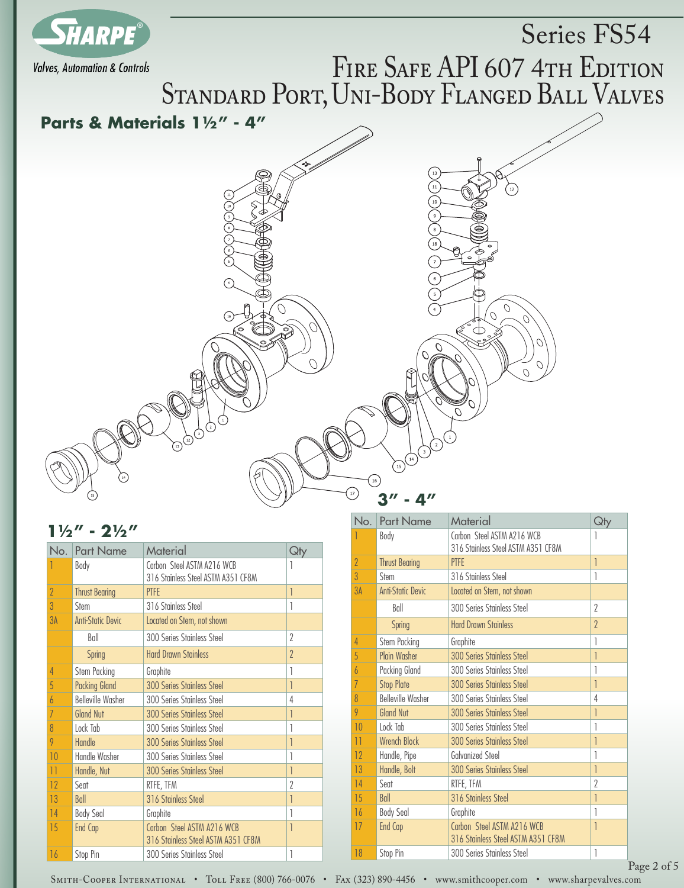

#### $1\frac{1}{2}$ " -  $2\frac{1}{2}$ "

| No.             | <b>Part Name</b>         | Material                                                         | Qty      |
|-----------------|--------------------------|------------------------------------------------------------------|----------|
|                 | Body                     | Carbon Steel ASTM A216 WCB<br>316 Stainless Steel ASTM A351 CF8M | 1        |
| $\overline{2}$  | <b>Thrust Bearing</b>    | <b>PTFE</b>                                                      | 1        |
| $\overline{3}$  | Stem                     | 316 Stainless Steel                                              |          |
| 3A              | <b>Anti-Static Devic</b> | Located on Stem, not shown                                       |          |
|                 | Ball                     | 300 Series Stainless Steel                                       | 2        |
|                 | <b>Spring</b>            | <b>Hard Drawn Stainless</b>                                      | $\gamma$ |
| 4               | Stem Packing             | Graphite                                                         | 1        |
| 5               | <b>Packing Gland</b>     | <b>300 Series Stainless Steel</b>                                | 1        |
| $\overline{b}$  | <b>Belleville Washer</b> | 300 Series Stainless Steel                                       | 4        |
| $\overline{1}$  | <b>Gland Nut</b>         | <b>300 Series Stainless Steel</b>                                | 1        |
| 8               | Lock Tab                 | 300 Series Stainless Steel                                       | 1        |
| 9               | Handle                   | <b>300 Series Stainless Steel</b>                                |          |
| 10              | Handle Washer            | 300 Series Stainless Steel                                       |          |
| $\overline{11}$ | Handle, Nut              | <b>300 Series Stainless Steel</b>                                |          |
| 12              | Sent                     | RTFE, TFM                                                        | 2        |
| 13              | Ball                     | 316 Stainless Steel                                              |          |
| 14              | <b>Body Seal</b>         | Graphite                                                         |          |
| 15              | End Cap                  | Carbon Steel ASTM A216 WCB<br>316 Stainless Steel ASTM A351 CF8M | 1        |
| 16              | Stop Pin                 | 300 Series Stainless Steel                                       | 1        |

| No.            | <b>Part Name</b>         | Material                                                         | Qty      |
|----------------|--------------------------|------------------------------------------------------------------|----------|
|                | Body                     | Carbon Steel ASTM A216 WCB<br>316 Stainless Steel ASTM A351 CF8M | 1        |
| $\overline{2}$ | <b>Thrust Bearing</b>    | <b>PTFE</b>                                                      | 1        |
| 3              | Stem                     | 316 Stainless Steel                                              | 1        |
| 3A             | <b>Anti-Static Devic</b> | Located on Stem, not shown                                       |          |
|                | Ball                     | 300 Series Stainless Steel                                       | $\gamma$ |
|                | <b>Spring</b>            | <b>Hard Drawn Stainless</b>                                      | $\gamma$ |
| 4              | Stem Packing             | Graphite                                                         | 1        |
| 5              | <b>Plain Washer</b>      | <b>300 Series Stainless Steel</b>                                | 1        |
| 6              | Packing Gland            | 300 Series Stainless Steel                                       |          |
| 7              | <b>Stop Plate</b>        | <b>300 Series Stainless Steel</b>                                | 1        |
| 8              | <b>Belleville Washer</b> | 300 Series Stainless Steel                                       | 4        |
| 9              | <b>Gland Nut</b>         | <b>300 Series Stainless Steel</b>                                | 1        |
| 10             | Lock Tab                 | 300 Series Stainless Steel                                       | 1        |
| $\mathbf{1}$   | <b>Wrench Block</b>      | <b>300 Series Stainless Steel</b>                                | 1        |
| 12             | Handle, Pipe             | <b>Galvanized Steel</b>                                          | 1        |
| 13             | Handle, Bolt             | <b>300 Series Stainless Steel</b>                                | 1        |
| 14             | Seat                     | RTFE, TFM                                                        | $\gamma$ |
| 15             | Ball                     | 316 Stainless Steel                                              | 1        |
| 16             | <b>Body Seal</b>         | Graphite                                                         | 1        |
| 17             | End Cap                  | Carbon Steel ASTM A216 WCB<br>316 Stainless Steel ASTM A351 CF8M | 1        |
| 18             | Stop Pin                 | 300 Series Stainless Steel                                       | 1        |

Smith-Cooper International • Toll Free (800) 766-0076 • Fax (323) 890-4456 • www.smithcooper.com • www.sharpevalves.com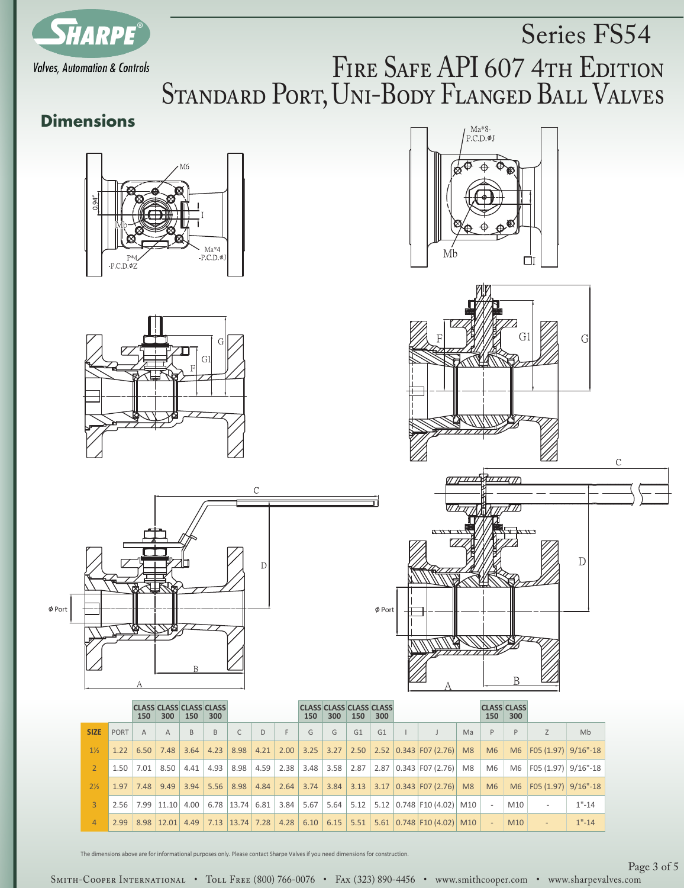

# Series FS54 FIRE SAFE API 607 4TH EDITION STANDARD PORT, UNI-BODY FLANGED BALL VALVES

# **Dimensions**













|                |             | 150            | <b>CLASS CLASS CLASS CLASS</b><br>300 | 150            | 300  |                     |      |             | <b>CLASS CLASS CLASS CLASS</b><br>150 | 300  | 150 | 300 |                                                                                             |    | <b>CLASS CLASS</b><br>150 | 300             |                          |           |
|----------------|-------------|----------------|---------------------------------------|----------------|------|---------------------|------|-------------|---------------------------------------|------|-----|-----|---------------------------------------------------------------------------------------------|----|---------------------------|-----------------|--------------------------|-----------|
| <b>SIZE</b>    | PORT        | $\overline{A}$ | $\mathsf{A}$                          | $\overline{B}$ | B.   | C                   | D    | F           | G                                     | G    | G1  | G1  |                                                                                             | Ma | $\mathsf{P}$              | P               | Z                        | Mb        |
| $1\frac{1}{2}$ |             | $1.22 \, 6.50$ | 7.48                                  | 3.64           |      | $4.23$ 8.98         | 4.21 |             | 2.00 3.25                             |      |     |     | $3.27$   2.50   2.52   0.343   F07 (2.76)   M8                                              |    | M6                        | M6              | $F(05(1.97))$ 9/16"-18   |           |
| $2^{\circ}$    | $1.50$ 7.01 |                | 8.50                                  | 4.41           | 4.93 | 8.98                |      |             |                                       |      |     |     | 4.59 $\mid$ 2.38 $\mid$ 3.48 $\mid$ 3.58 $\mid$ 2.87 $\mid$ 2.87 $\mid$ 0.343 F07 (2.76) M8 |    | M6                        | M6              | $ F05(1.97) $ 9/16"-18   |           |
| $2\frac{1}{2}$ | $1.97$ 7.48 |                | 9.49                                  |                |      | $3.94$ 5.56 8.98    | 4.84 |             | $2.64$ 3.74                           |      |     |     | $3.84$   3.13   3.17   0.343   F07 (2.76)   M8                                              |    | M6                        | M6              | $F(05(1.97))$ 9/16"-18   |           |
| $\mathbf{3}$   |             |                | $2.56$   7.99   11.10   4.00          |                |      | $6.78$ 13.74 6.81   |      | $3.84$ 5.67 |                                       | 5.64 |     |     | $5.12$   5.12   0.748   F10 (4.02)   M10                                                    |    | $\sim$                    | M10             | $\overline{\phantom{a}}$ | $1" - 14$ |
| $\overline{4}$ |             |                | $2.99$ 8.98 12.01                     | 4.49           |      | $7.13$ $13.74$ 7.28 |      |             | $4.28$ 6.10 6.15                      |      |     |     | $5.51$   5.61   0.748   F10 (4.02)   M10                                                    |    | $\sim$                    | M <sub>10</sub> | $\overline{\phantom{a}}$ | $1" - 14$ |

The dimensions above are for informational purposes only. Please contact Sharpe Valves if you need dimensions for construction.

SMITH-COOPER INTERNATIONAL • TOLL FREE (800) 766-0076 • FAX (323) 890-4456 • www.smithcooper.com • www.sharpevalves.com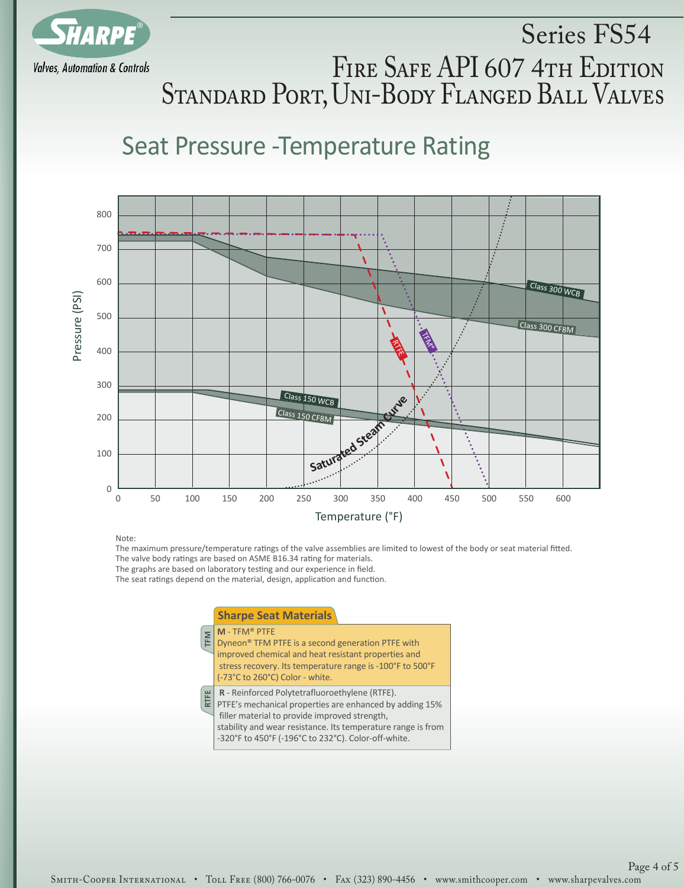

# Series FS54 FIRE SAFE API 607 4TH EDITION Standard Port, Uni-Body Flanged Ball Valves

# Seat Pressure -Temperature Rating



Note:

The maximum pressure/temperature ratings of the valve assemblies are limited to lowest of the body or seat material fitted. The valve body ratings are based on ASME B16.34 rating for materials.

The graphs are based on laboratory testing and our experience in field.

The seat ratings depend on the material, design, application and function.

#### **TFM RTFE M** - TFM® PTFE Dyneon® TFM PTFE is a second generation PTFE with improved chemical and heat resistant properties and stress recovery. Its temperature range is -100°F to 500°F (-73°C to 260°C) Color - white. **R** - Reinforced Polytetrafluoroethylene (RTFE). PTFE's mechanical properties are enhanced by adding 15% filler material to provide improved strength, stability and wear resistance. Its temperature range is from -320°F to 450°F (-196°C to 232°C). Color-off-white. **Sharpe Seat Materials**

### Smith-Cooper International • Toll Free (800) 766-0076 • Fax (323) 890-4456 • www.smithcooper.com • www.sharpevalves.com

Page 4 of 5